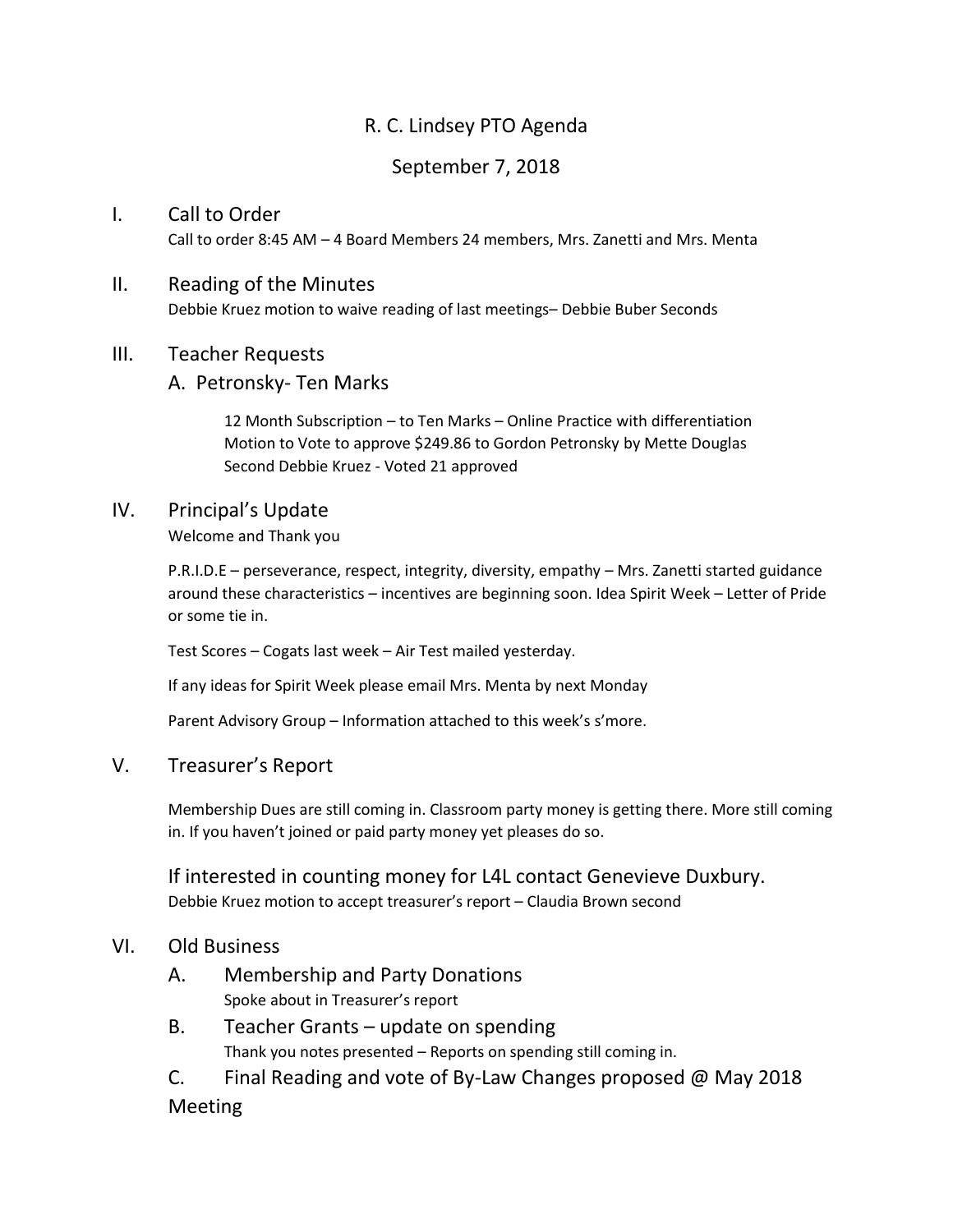# R. C. Lindsey PTO Agenda

# September 7, 2018

## I. Call to Order Call to order 8:45 AM – 4 Board Members 24 members, Mrs. Zanetti and Mrs. Menta

#### II. Reading of the Minutes

Debbie Kruez motion to waive reading of last meetings– Debbie Buber Seconds

#### III. Teacher Requests

#### A. Petronsky- Ten Marks

12 Month Subscription – to Ten Marks – Online Practice with differentiation Motion to Vote to approve \$249.86 to Gordon Petronsky by Mette Douglas Second Debbie Kruez - Voted 21 approved

#### IV. Principal's Update

Welcome and Thank you

P.R.I.D.E – perseverance, respect, integrity, diversity, empathy – Mrs. Zanetti started guidance around these characteristics – incentives are beginning soon. Idea Spirit Week – Letter of Pride or some tie in.

Test Scores – Cogats last week – Air Test mailed yesterday.

If any ideas for Spirit Week please email Mrs. Menta by next Monday

Parent Advisory Group – Information attached to this week's s'more.

#### V. Treasurer's Report

Membership Dues are still coming in. Classroom party money is getting there. More still coming in. If you haven't joined or paid party money yet pleases do so.

If interested in counting money for L4L contact Genevieve Duxbury. Debbie Kruez motion to accept treasurer's report – Claudia Brown second

#### VI. Old Business

- A. Membership and Party Donations Spoke about in Treasurer's report
- B. Teacher Grants update on spending Thank you notes presented – Reports on spending still coming in.
- C. Final Reading and vote of By-Law Changes proposed @ May 2018 Meeting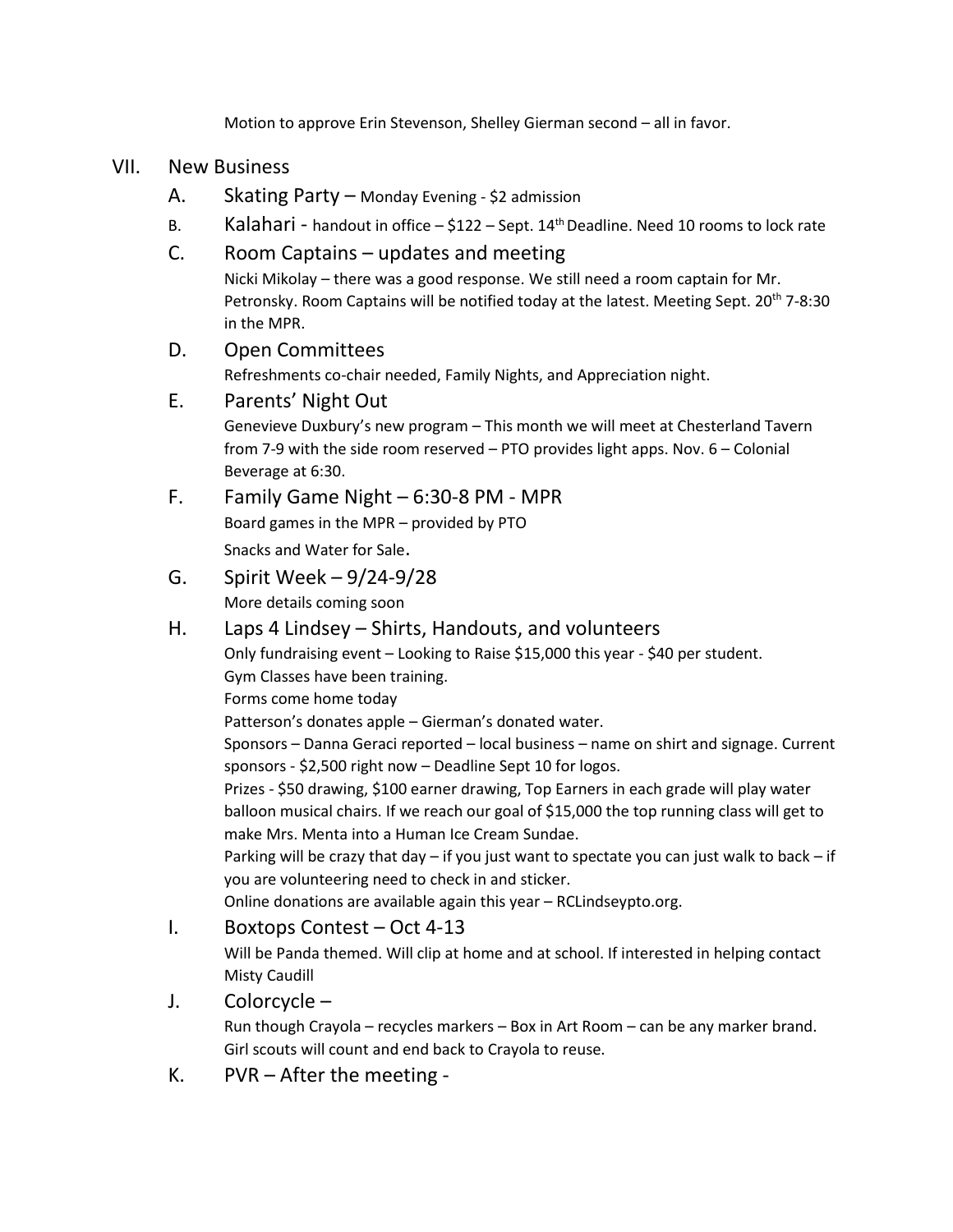Motion to approve Erin Stevenson, Shelley Gierman second – all in favor.

#### VII. New Business

- A. Skating Party Monday Evening \$2 admission
- B. Kalahari handout in office  $-$  \$122 Sept. 14<sup>th</sup> Deadline. Need 10 rooms to lock rate

#### C. Room Captains – updates and meeting

Nicki Mikolay – there was a good response. We still need a room captain for Mr. Petronsky. Room Captains will be notified today at the latest. Meeting Sept. 20<sup>th</sup> 7-8:30 in the MPR.

### D. Open Committees

Refreshments co-chair needed, Family Nights, and Appreciation night.

#### E. Parents' Night Out

Genevieve Duxbury's new program – This month we will meet at Chesterland Tavern from 7-9 with the side room reserved – PTO provides light apps. Nov. 6 – Colonial Beverage at 6:30.

- F. Family Game Night 6:30-8 PM MPR Board games in the MPR – provided by PTO Snacks and Water for Sale.
- G. Spirit Week 9/24-9/28 More details coming soon
- H. Laps 4 Lindsey Shirts, Handouts, and volunteers

Only fundraising event – Looking to Raise \$15,000 this year - \$40 per student. Gym Classes have been training.

Forms come home today

Patterson's donates apple – Gierman's donated water.

Sponsors – Danna Geraci reported – local business – name on shirt and signage. Current sponsors - \$2,500 right now – Deadline Sept 10 for logos.

Prizes - \$50 drawing, \$100 earner drawing, Top Earners in each grade will play water balloon musical chairs. If we reach our goal of \$15,000 the top running class will get to make Mrs. Menta into a Human Ice Cream Sundae.

Parking will be crazy that day – if you just want to spectate you can just walk to back – if you are volunteering need to check in and sticker.

Online donations are available again this year – RCLindseypto.org.

#### I. Boxtops Contest – Oct 4-13

Will be Panda themed. Will clip at home and at school. If interested in helping contact Misty Caudill

## J. Colorcycle –

Run though Crayola – recycles markers – Box in Art Room – can be any marker brand. Girl scouts will count and end back to Crayola to reuse.

K. PVR – After the meeting -